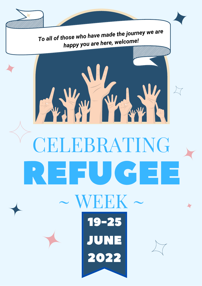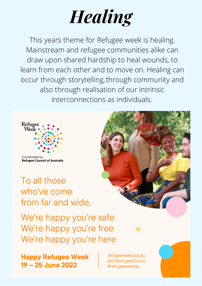# *Healing*

This years theme for Refugee week is healing. Mainstream and refugee communities alike can draw upon shared hardship to heal wounds, to learn from each other and to move on. Healing can occur through storytelling, through community and also through realisation of our intrinsic interconnections as individuals.



Coordinated by **Refugee Council of Australia** 

To all those who've come from far and wide,

We're happy you're safe We're happy you're free We're happy you're here



**Happy Refugee Week** 19 - 25 June 2022

refugeeweek.org.au @OzRefugeeCounc #refugeeweekau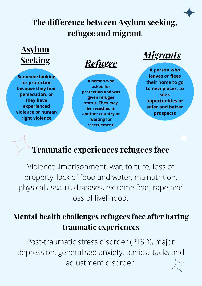#### **The difference between Asylum seeking, refugee and migrant**

### **Asylum Seeking** *Refugee*

**Someone looking for protection because they fear persecution, or they have experienced violence or human right violence**

**A person who asked for protection and was given refugee status. They may be resettled in another country or waiting for resettlement.**

*Migrants*

**A person who leaves or flees their home to go to new places, to seek opportunities or safer and better prospects**

#### **Traumatic experiences refugees face**

Violence ,imprisonment, war, torture, loss of property, lack of food and water, malnutrition, physical assault, diseases, extreme fear, rape and loss of livelihood.

#### **Mental health challenges refugees face after having traumatic experiences**

Post-traumatic stress disorder (PTSD), major depression, generalised anxiety, panic attacks and adjustment disorder.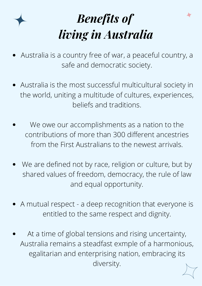

## *Benefits of living in Australia*

- Australia is a country free of war, a peaceful country, a safe and democratic society.
- Australia is the most successful multicultural society in the world, uniting a multitude of cultures, experiences, beliefs and traditions.
- We owe our accomplishments as a nation to the contributions of more than 300 different ancestries from the First Australians to the newest arrivals.
- We are defined not by race, religion or culture, but by shared values of freedom, democracy, the rule of law and equal opportunity.
- A mutual respect a deep recognition that everyone is entitled to the same respect and dignity.
- At a time of global tensions and rising uncertainty, Australia remains a steadfast exmple of a harmonious, egalitarian and enterprising nation, embracing its diversity.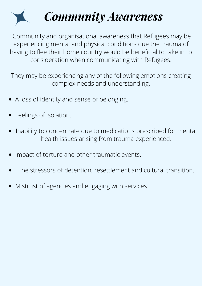

Community and organisational awareness that Refugees may be experiencing mental and physical conditions due the trauma of having to flee their home country would be beneficial to take in to consideration when communicating with Refugees.

They may be experiencing any of the following emotions creating complex needs and understanding.

- A loss of identity and sense of belonging.
- Feelings of isolation.
- Inability to concentrate due to medications prescribed for mental health issues arising from trauma experienced.
- Impact of torture and other traumatic events.
- The stressors of detention, resettlement and cultural transition.
- Mistrust of agencies and engaging with services.